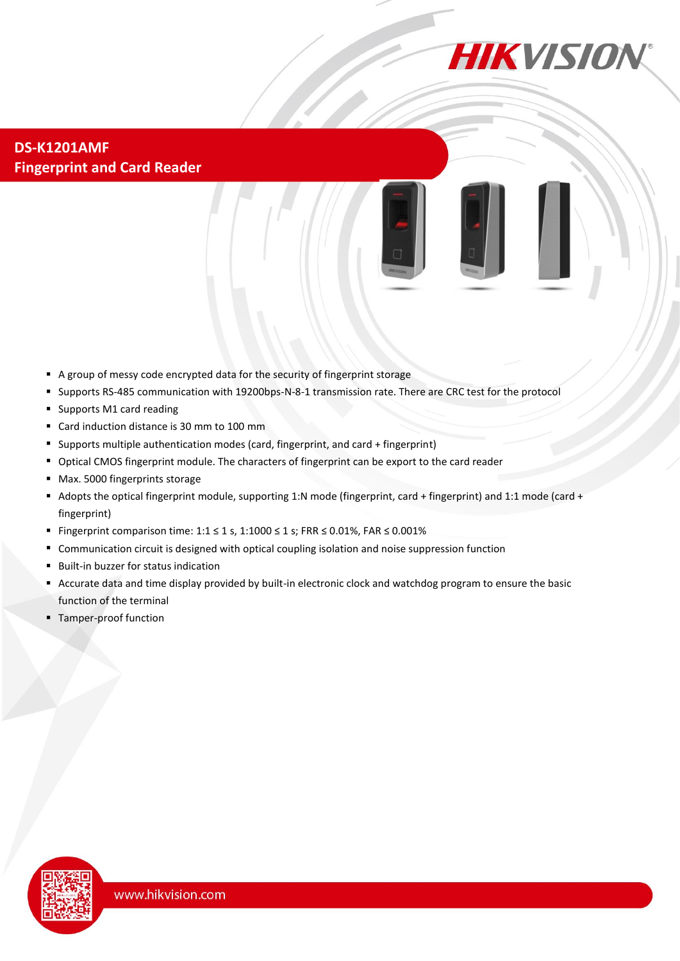

**DS-K1201AMF Fingerprint and Card Reader**



- A group of messy code encrypted data for the security of fingerprint storage
- Supports RS-485 communication with 19200bps-N-8-1 transmission rate. There are CRC test for the protocol
- Supports M1 card reading
- Card induction distance is 30 mm to 100 mm
- Supports multiple authentication modes (card, fingerprint, and card + fingerprint)
- Optical CMOS fingerprint module. The characters of fingerprint can be export to the card reader
- Max. 5000 fingerprints storage
- Adopts the optical fingerprint module, supporting 1:N mode (fingerprint, card + fingerprint) and 1:1 mode (card + fingerprint)
- Fingerprint comparison time:  $1:1 \le 1$  s,  $1:1000 \le 1$  s; FRR  $\le 0.01\%$ , FAR  $\le 0.001\%$
- Communication circuit is designed with optical coupling isolation and noise suppression function
- Built-in buzzer for status indication
- Accurate data and time display provided by built-in electronic clock and watchdog program to ensure the basic function of the terminal
- **Tamper-proof function**

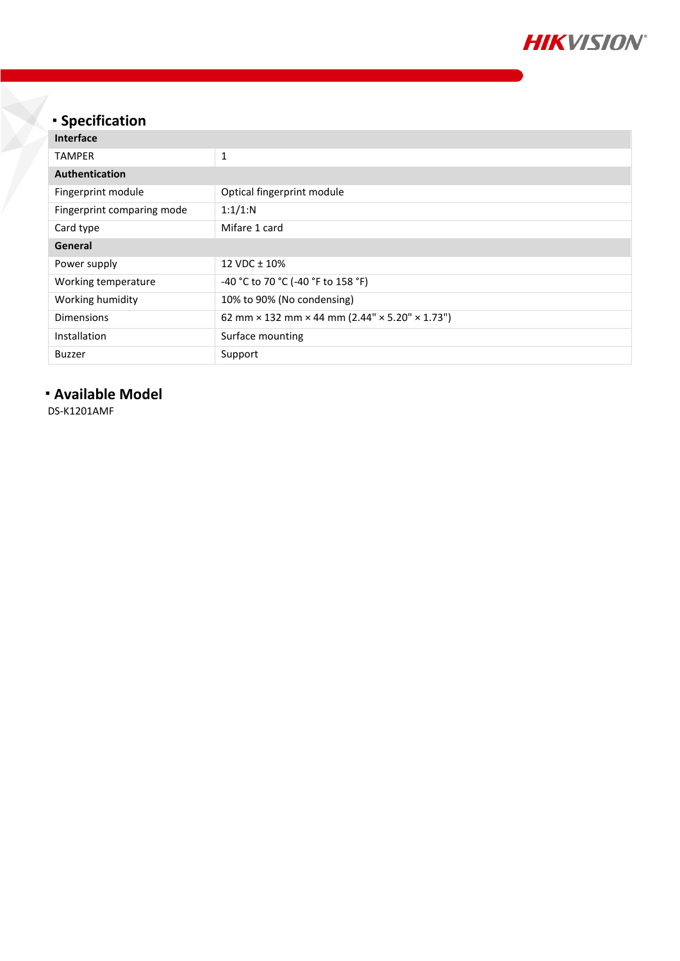

## **Specification**

| <b>Interface</b>           |                                                |
|----------------------------|------------------------------------------------|
| <b>TAMPER</b>              | 1                                              |
| Authentication             |                                                |
| Fingerprint module         | Optical fingerprint module                     |
| Fingerprint comparing mode | 1:1/1:N                                        |
| Card type                  | Mifare 1 card                                  |
| General                    |                                                |
| Power supply               | 12 VDC $\pm$ 10%                               |
| Working temperature        | -40 °C to 70 °C (-40 °F to 158 °F)             |
| Working humidity           | 10% to 90% (No condensing)                     |
| Dimensions                 | 62 mm × 132 mm × 44 mm (2.44" × 5.20" × 1.73") |
| Installation               | Surface mounting                               |
| <b>Buzzer</b>              | Support                                        |

## **Available Model**

DS-K1201AMF